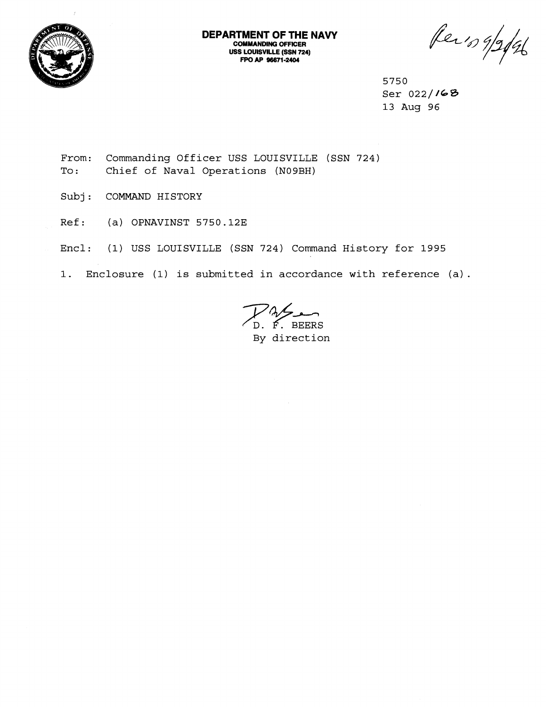

Per's 9/2/96

**5750 Ser 022//68 13 Aug 96** 

- **From: Commanding Officer USS LOUISVILLE (SSN 724) To** : **Chief of Naval Operations (N09BH)**
- **Subj** : **COMMAND HISTORY**
- **Ref: (a) OPNAVINST 5750.123**
- **Encl: (1) USS LOUISVILLE (SSN 724) Command History for 1995**
- **1. Enclosure (1) is submitted in accordance with reference (a)** .

**BEERS**<br>D. F. BEERS **By direction**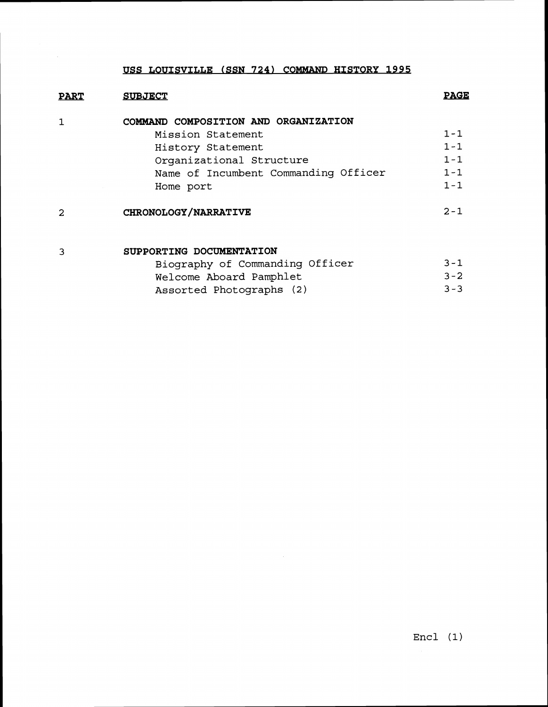## **USS LOUISVILLE (SSN 724) COMMAND HISTORY 1995**

| <b>PART</b> | <b>SUBJECT</b>                       | <b>PAGE</b> |
|-------------|--------------------------------------|-------------|
|             | COMMAND COMPOSITION AND ORGANIZATION |             |
|             | Mission Statement                    | $1 - 1$     |
|             | History Statement                    | $1 - 1$     |
|             | Organizational Structure             | $1 - 1$     |
|             | Name of Incumbent Commanding Officer | $1 - 1$     |
|             | Home port                            | $1 - 1$     |
|             | CHRONOLOGY/NARRATIVE                 | $2 - 1$     |
|             | SUPPORTING DOCUMENTATION             |             |
|             | Biography of Commanding Officer      | $3 - 1$     |
|             | Welcome Aboard Pamphlet              | $3 - 2$     |
|             | Assorted Photographs (2)             | $3 - 3$     |

 $\sim 10^7$ 

## Encl **(1)**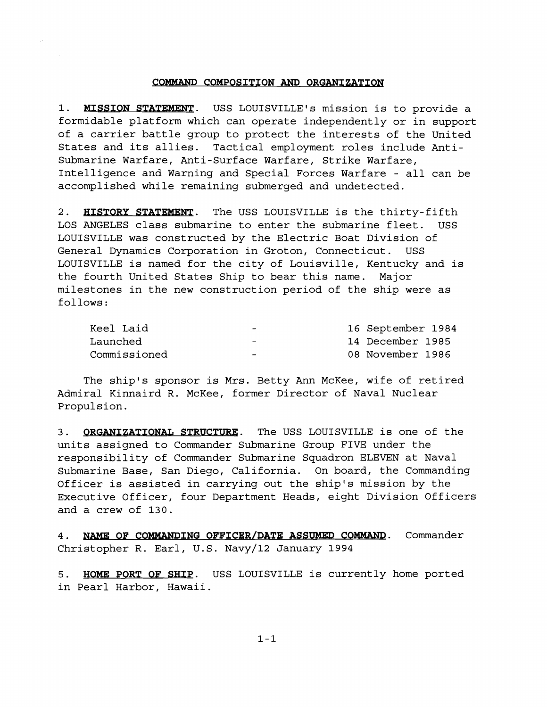## **COMMAND COMPOSITION AND ORGANIZATION**

1. MISSION STATEMENT. USS LOUISVILLE's mission is to provide a formidable platform which can operate independently or in support of a carrier battle group to protect the interests of the United States and its allies. Tactical employment roles include Antisubmarine Warfare, Anti-Surface Warfare, Strike Warfare, Intelligence and Warning and Special Forces Warfare - all can be accomplished while remaining submerged and undetected.

2. HISTORY STATEMENT. The USS LOUISVILLE is the thirty-fifth LOS ANGELES class submarine to enter the submarine fleet. USS LOUISVILLE was constructed by the Electric Boat Division of General Dynamics Corporation in Groton, Connecticut. USS LOUISVILLE is named for the city of Louisville, Kentucky and is the fourth United States Ship to bear this name. Major milestones in the new construction period of the ship were as follows :

| Keel Laid    | $\overline{\phantom{0}}$ | 16 September 1984 |
|--------------|--------------------------|-------------------|
| Launched     | $\overline{\phantom{0}}$ | 14 December 1985  |
| Commissioned | $\overline{\phantom{0}}$ | 08 November 1986  |

The ship's sponsor is Mrs. Betty Ann McKee, wife of retired Admiral Kinnaird R. McKee, former Director of Naval Nuclear Propulsion.

3. **ORGANIZATIONAL STRUCTURE**. The USS LOUISVILLE is one of the units assigned to Commander Submarine Group FIVE under the responsibility of Commander Submarine Squadron ELEVEN at Naval Submarine Base, San Diego, California. On board, the Commanding Officer is assisted in carrying out the ship's mission by the Executive Officer, four Department Heads, eight Division Officers and a crew of 130.

**4.** NAME **OF COMMANDING OFFICER/DATE ASSUMED COMMAND.** Commander Christopher **R.** Earl, U.S. Navy/l2 January 1994

5. HOME PORT OF SHIP. USS LOUISVILLE is currently home ported in Pearl Harbor, Hawaii.

 $1 - 1$